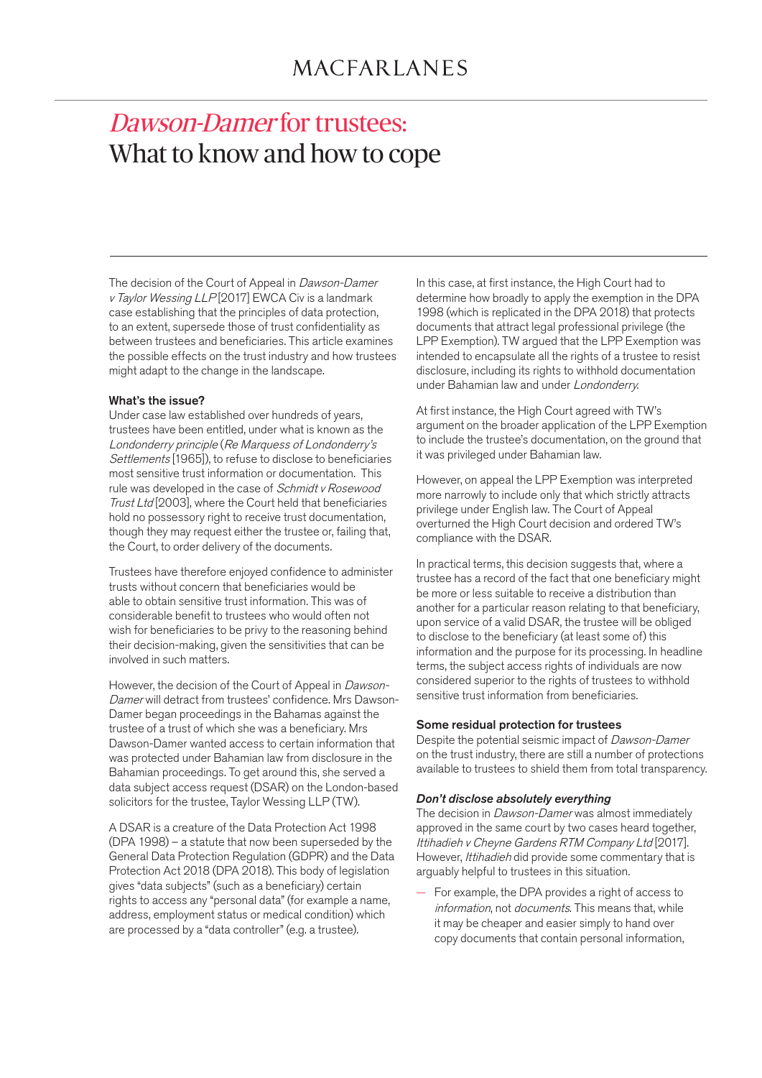# <span id="page-0-0"></span>Dawson-Damer for trustees: What to know and how to cope

The decision of the Court of Appeal in Dawson-Damer v Taylor Wessing LLP[2017] EWCA Civ is a landmark case establishing that the principles of data protection, to an extent, supersede those of trust confidentiality as between trustees and beneficiaries. This article examines the possible effects on the trust industry and how trustees might adapt to the change in the landscape.

### What's the issue?

Under case law established over hundreds of years, trustees have been entitled, under what is known as the Londonderry principle (Re Marquess of Londonderry's Settlements [1965]), to refuse to disclose to beneficiaries most sensitive trust information or documentation. This rule was developed in the case of Schmidt v Rosewood Trust Ltd [2003], where the Court held that beneficiaries hold no possessory right to receive trust documentation, though they may request either the trustee or, failing that, the Court, to order delivery of the documents.

Trustees have therefore enjoyed confidence to administer trusts without concern that beneficiaries would be able to obtain sensitive trust information. This was of considerable benefit to trustees who would often not wish for beneficiaries to be privy to the reasoning behind their decision-making, given the sensitivities that can be involved in such matters.

However, the decision of the Court of Appeal in Dawson-Damer will detract from trustees' confidence. Mrs Dawson-Damer began proceedings in the Bahamas against the trustee of a trust of which she was a beneficiary. Mrs Dawson-Damer wanted access to certain information that was protected under Bahamian law from disclosure in the Bahamian proceedings. To get around this, she served a data subject access request (DSAR) on the London-based solicitors for the trustee, Taylor Wessing LLP (TW).

A DSAR is a creature of the Data Protection Act 1998 (DPA 1998) – a statute that now been superseded by the General Data Protection Regulation (GDPR) and the Data Protection Act 2018 (DPA 2018). This body of legislation gives "data subjects" (such as a beneficiary) certain rights to access any "personal data" (for example a name, address, employment status or medical condition) which are processed by a "data controller" (e.g. a trustee).

In this case, at first instance, the High Court had to determine how broadly to apply the exemption in the DPA 1998 (which is replicated in the DPA 2018) that protects documents that attract legal professional privilege (the LPP Exemption). TW argued that the LPP Exemption was intended to encapsulate all the rights of a trustee to resist disclosure, including its rights to withhold documentation under Bahamian law and under Londonderry.

At first instance, the High Court agreed with TW's argument on the broader application of the LPP Exemption to include the trustee's documentation, on the ground that it was privileged under Bahamian law.

However, on appeal the LPP Exemption was interpreted more narrowly to include only that which strictly attracts privilege under English law. The Court of Appeal overturned the High Court decision and ordered TW's compliance with the DSAR.

In practical terms, this decision suggests that, where a trustee has a record of the fact that one beneficiary might be more or less suitable to receive a distribution than another for a particular reason relating to that beneficiary, upon service of a valid DSAR, the trustee will be obliged to disclose to the beneficiary (at least some of) this information and the purpose for its processing. In headline terms, the subject access rights of individuals are now considered superior to the rights of trustees to withhold sensitive trust information from beneficiaries.

#### Some residual protection for trustees

Despite the potential seismic impact of Dawson-Damer on the trust industry, there are still a number of protections available to trustees to shield them from total transparency.

#### *Don't disclose absolutely everything*

The decision in Dawson-Damer was almost immediately approved in the same court by two cases heard together, Ittihadieh v Cheyne Gardens RTM Company Ltd [2017]. However, Ittihadieh did provide some commentary that is arguably helpful to trustees in this situation.

— For example, the DPA provides a right of access to information, not documents. This means that, while it may be cheaper and easier simply to hand over copy documents that contain personal information,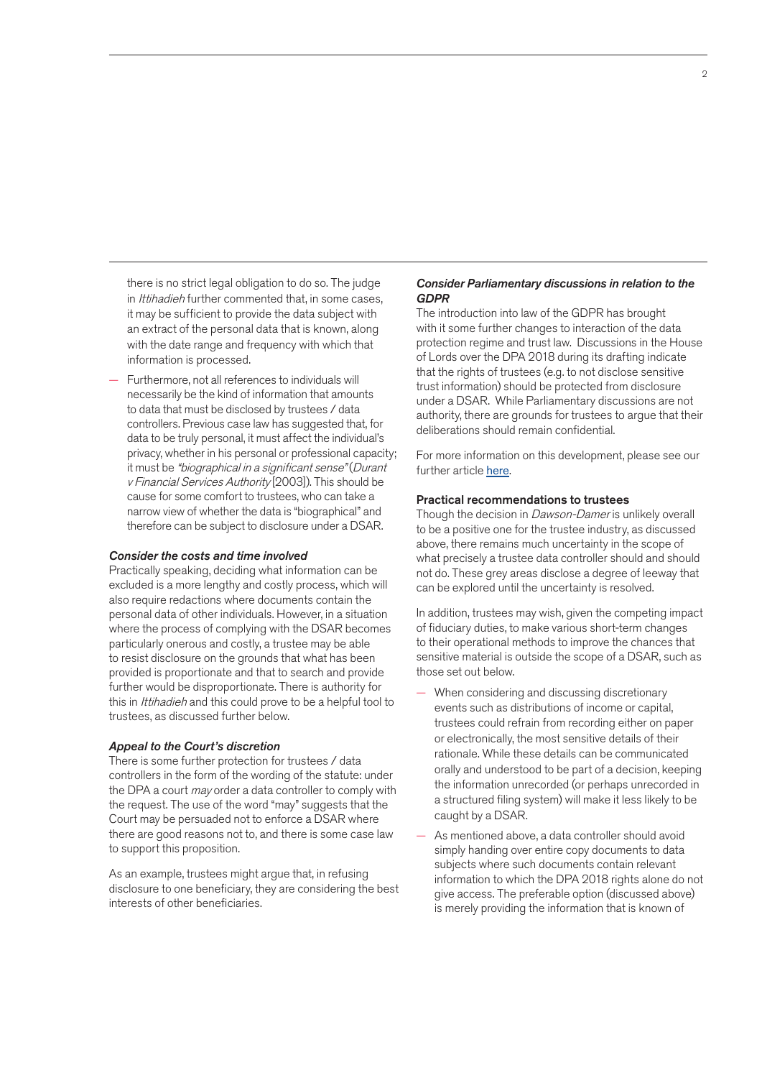there is no strict legal obligation to do so. The judge in Ittihadieh further commented that, in some cases, it may be sufficient to provide the data subject with an extract of the personal data that is known, along with the date range and frequency with which that information is processed.

— Furthermore, not all references to individuals will necessarily be the kind of information that amounts to data that must be disclosed by trustees / data controllers. Previous case law has suggested that, for data to be truly personal, it must affect the individual's privacy, whether in his personal or professional capacity; it must be "biographical in a significant sense" (Durant v Financial Services Authority [2003]). This should be cause for some comfort to trustees, who can take a narrow view of whether the data is "biographical" and therefore can be subject to disclosure under a DSAR.

#### *Consider the costs and time involved*

Practically speaking, deciding what information can be excluded is a more lengthy and costly process, which will also require redactions where documents contain the personal data of other individuals. However, in a situation where the process of complying with the DSAR becomes particularly onerous and costly, a trustee may be able to resist disclosure on the grounds that what has been provided is proportionate and that to search and provide further would be disproportionate. There is authority for this in Ittihadieh and this could prove to be a helpful tool to trustees, as discussed further below.

#### *Appeal to the Court's discretion*

There is some further protection for trustees / data controllers in the form of the wording of the statute: under the DPA a court may order a data controller to comply with the request. The use of the word "may" suggests that the Court may be persuaded not to enforce a DSAR where there are good reasons not to, and there is some case law to support this proposition.

As an example, trustees might argue that, in refusing disclosure to one beneficiary, they are considering the best interests of other beneficiaries.

#### *Consider Parliamentary discussions in relation to the GDPR*

The introduction into law of the GDPR has brought with it some further changes to interaction of the data protection regime and trust law. Discussions in the House of Lords over the DPA 2018 during its drafting indicate that the rights of trustees (e.g. to not disclose sensitive trust information) should be protected from disclosure under a DSAR. While Parliamentary discussions are not authority, there are grounds for trustees to argue that their deliberations should remain confidential.

For more inf[ormation on](#page-0-0) this development, please see our further article here.

#### Practical recommendations to trustees

Though the decision in Dawson-Damer is unlikely overall to be a positive one for the trustee industry, as discussed above, there remains much uncertainty in the scope of what precisely a trustee data controller should and should not do. These grey areas disclose a degree of leeway that can be explored until the uncertainty is resolved.

In addition, trustees may wish, given the competing impact of fiduciary duties, to make various short-term changes to their operational methods to improve the chances that sensitive material is outside the scope of a DSAR, such as those set out below.

- When considering and discussing discretionary events such as distributions of income or capital, trustees could refrain from recording either on paper or electronically, the most sensitive details of their rationale. While these details can be communicated orally and understood to be part of a decision, keeping the information unrecorded (or perhaps unrecorded in a structured filing system) will make it less likely to be caught by a DSAR.
- As mentioned above, a data controller should avoid simply handing over entire copy documents to data subjects where such documents contain relevant information to which the DPA 2018 rights alone do not give access. The preferable option (discussed above) is merely providing the information that is known of